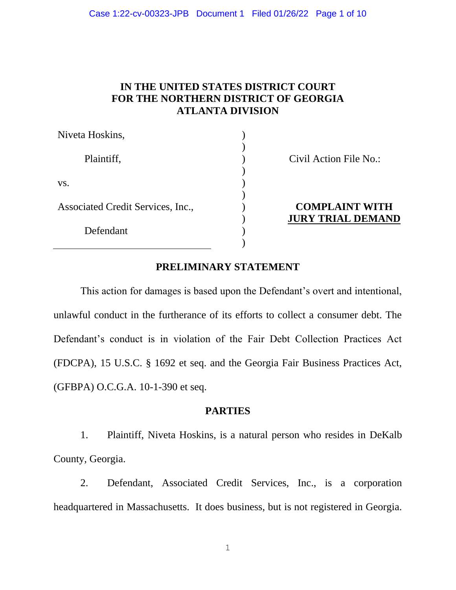#### Case 1:22-cv-00323-JPB Document 1 Filed 01/26/22 Page 1 of 10

# **IN THE UNITED STATES DISTRICT COURT FOR THE NORTHERN DISTRICT OF GEORGIA ATLANTA DIVISION**

| Niveta Hoskins,                   |                                                   |
|-----------------------------------|---------------------------------------------------|
| Plaintiff,                        | Civil Action File No.:                            |
| VS.                               |                                                   |
| Associated Credit Services, Inc., | <b>COMPLAINT WITH</b><br><b>JURY TRIAL DEMAND</b> |
| Defendant                         |                                                   |
|                                   |                                                   |

## **PRELIMINARY STATEMENT**

This action for damages is based upon the Defendant's overt and intentional, unlawful conduct in the furtherance of its efforts to collect a consumer debt. The Defendant's conduct is in violation of the Fair Debt Collection Practices Act (FDCPA), 15 U.S.C. § 1692 et seq. and the Georgia Fair Business Practices Act, (GFBPA) O.C.G.A. 10-1-390 et seq.

## **[PARTIES](#page-6-0)**

1. Plaintiff, Niveta Hoskins, is a natural person who resides in DeKalb County, Georgia.

2. Defendant, Associated Credit Services, Inc., is a corporation headquartered in Massachusetts. It does business, but is not registered in Georgia.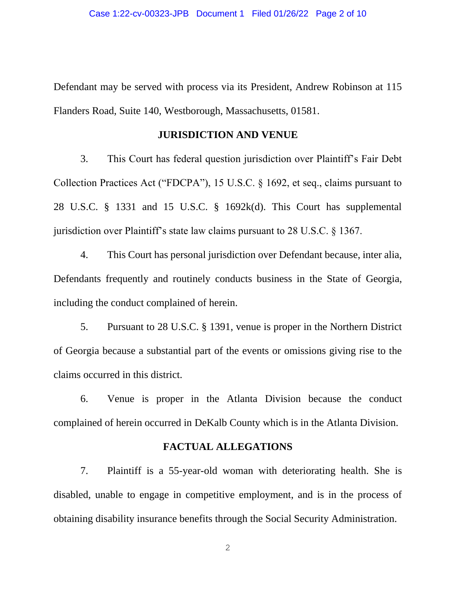Defendant may be served with process via its President, Andrew Robinson at 115 Flanders Road, Suite 140, Westborough, Massachusetts, 01581.

#### **JURISDICTION AND VENUE**

3. This Court has federal question jurisdiction over Plaintiff's Fair Debt Collection Practices Act ("FDCPA"), 15 U.S.C. § 1692, et seq., claims pursuant to 28 U.S.C. § 1331 and 15 U.S.C. § 1692k(d). This Court has supplemental jurisdiction over Plaintiff's state law claims pursuant to 28 U.S.C. § 1367.

4. This Court has personal jurisdiction over Defendant because, inter alia, Defendants frequently and routinely conducts business in the State of Georgia, including the conduct complained of herein.

5. Pursuant to 28 U.S.C. § 1391, venue is proper in the Northern District of Georgia because a substantial part of the events or omissions giving rise to the claims occurred in this district.

6. Venue is proper in the Atlanta Division because the conduct complained of herein occurred in DeKalb County which is in the Atlanta Division.

### **FACTUAL ALLEGATIONS**

7. Plaintiff is a 55-year-old woman with deteriorating health. She is disabled, unable to engage in competitive employment, and is in the process of obtaining disability insurance benefits through the Social Security Administration.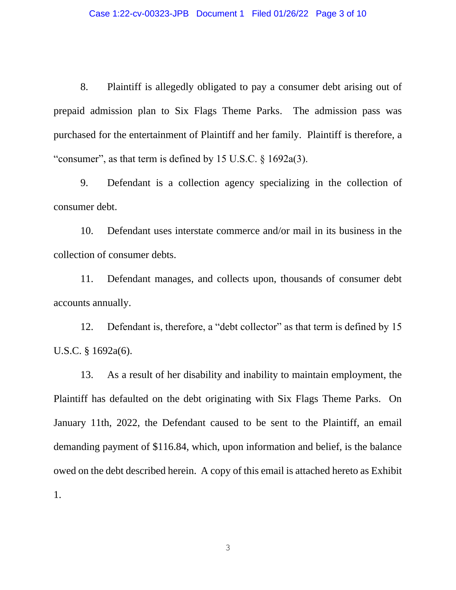8. Plaintiff is allegedly obligated to pay a consumer debt arising out of prepaid admission plan to Six Flags Theme Parks. The admission pass was purchased for the entertainment of Plaintiff and her family. Plaintiff is therefore, a "consumer", as that term is defined by 15 U.S.C. § 1692a(3).

9. Defendant is a collection agency specializing in the collection of consumer debt.

10. Defendant uses interstate commerce and/or mail in its business in the collection of consumer debts.

11. Defendant manages, and collects upon, thousands of consumer debt accounts annually.

12. Defendant is, therefore, a "debt collector" as that term is defined by 15 U.S.C. § 1692a(6).

13. As a result of her disability and inability to maintain employment, the Plaintiff has defaulted on the debt originating with Six Flags Theme Parks. On January 11th, 2022, the Defendant caused to be sent to the Plaintiff, an email demanding payment of \$116.84, which, upon information and belief, is the balance owed on the debt described herein. A copy of this email is attached hereto as Exhibit 1.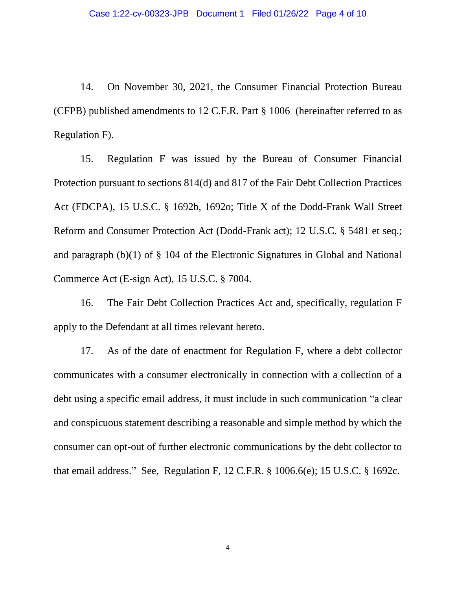14. On November 30, 2021, the Consumer Financial Protection Bureau (CFPB) published amendments to 12 C.F.R. Part § 1006 (hereinafter referred to as Regulation F).

15. Regulation F was issued by the Bureau of Consumer Financial Protection pursuant to sections 814(d) and 817 of the Fair Debt Collection Practices Act (FDCPA), 15 U.S.C. § 1692b, 1692o; Title X of the Dodd-Frank Wall Street Reform and Consumer Protection Act (Dodd-Frank act); 12 U.S.C. § 5481 et seq.; and paragraph (b)(1) of § 104 of the Electronic Signatures in Global and National Commerce Act (E-sign Act), 15 U.S.C. § 7004.

16. The Fair Debt Collection Practices Act and, specifically, regulation F apply to the Defendant at all times relevant hereto.

17. As of the date of enactment for Regulation F, where a debt collector communicates with a consumer electronically in connection with a collection of a debt using a specific email address, it must include in such communication "a clear and conspicuous statement describing a reasonable and simple method by which the consumer can opt-out of further electronic communications by the debt collector to that email address." See, Regulation F, 12 C.F.R. § 1006.6(e); 15 U.S.C. § 1692c.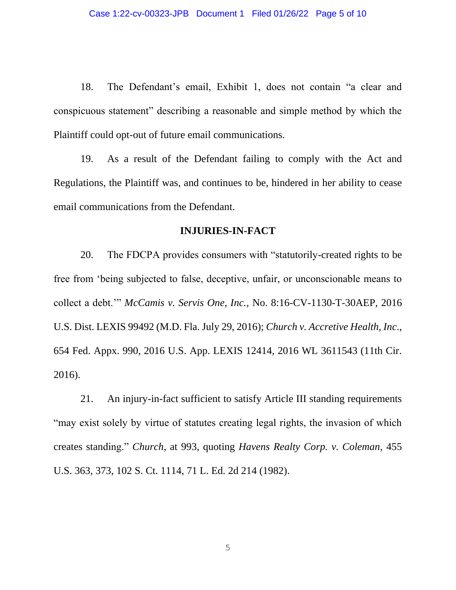18. The Defendant's email, Exhibit 1, does not contain "a clear and conspicuous statement" describing a reasonable and simple method by which the Plaintiff could opt-out of future email communications.

19. As a result of the Defendant failing to comply with the Act and Regulations, the Plaintiff was, and continues to be, hindered in her ability to cease email communications from the Defendant.

### **INJURIES-IN-FACT**

20. The FDCPA provides consumers with "statutorily-created rights to be free from 'being subjected to false, deceptive, unfair, or unconscionable means to collect a debt.'" *McCamis v. Servis One, Inc.*, No. 8:16-CV-1130-T-30AEP, 2016 U.S. Dist. LEXIS 99492 (M.D. Fla. July 29, 2016); *Church v. Accretive Health, Inc*., 654 Fed. Appx. 990, 2016 U.S. App. LEXIS 12414, 2016 WL 3611543 (11th Cir. 2016).

21. An injury-in-fact sufficient to satisfy Article III standing requirements "may exist solely by virtue of statutes creating legal rights, the invasion of which creates standing." *Church*, at 993, quoting *Havens Realty Corp. v. Coleman*, 455 U.S. 363, 373, 102 S. Ct. 1114, 71 L. Ed. 2d 214 (1982).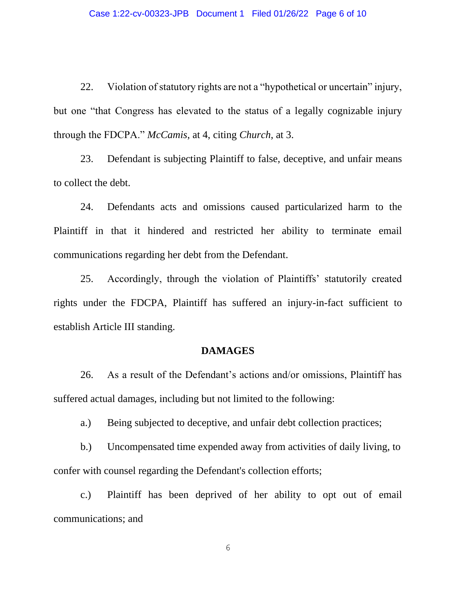22. Violation of statutory rights are not a "hypothetical or uncertain" injury, but one "that Congress has elevated to the status of a legally cognizable injury through the FDCPA." *McCamis*, at 4, citing *Church*, at 3.

23. Defendant is subjecting Plaintiff to false, deceptive, and unfair means to collect the debt.

24. Defendants acts and omissions caused particularized harm to the Plaintiff in that it hindered and restricted her ability to terminate email communications regarding her debt from the Defendant.

25. Accordingly, through the violation of Plaintiffs' statutorily created rights under the FDCPA, Plaintiff has suffered an injury-in-fact sufficient to establish Article III standing.

### **DAMAGES**

26. As a result of the Defendant's actions and/or omissions, Plaintiff has suffered actual damages, including but not limited to the following:

a.) Being subjected to deceptive, and unfair debt collection practices;

b.) Uncompensated time expended away from activities of daily living, to confer with counsel regarding the Defendant's collection efforts;

c.) Plaintiff has been deprived of her ability to opt out of email communications; and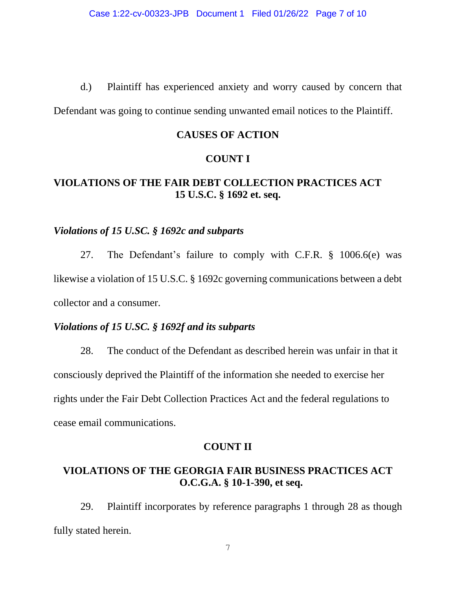d.) Plaintiff has experienced anxiety and worry caused by concern that

Defendant was going to continue sending unwanted email notices to the Plaintiff.

## **CAUSES OF ACTION**

### **COUNT I**

# <span id="page-6-0"></span>**VIOLATIONS OF THE FAIR DEBT COLLECTION PRACTICES ACT 15 U.S.C. § 1692 et. seq.**

## *Violations of 15 U.SC. § 1692c and subparts*

27. The Defendant's failure to comply with C.F.R. § 1006.6(e) was likewise a violation of 15 U.S.C. § 1692c governing communications between a debt collector and a consumer.

# *Violations of 15 U.SC. § 1692f and its subparts*

28. The conduct of the Defendant as described herein was unfair in that it consciously deprived the Plaintiff of the information she needed to exercise her rights under the Fair Debt Collection Practices Act and the federal regulations to cease email communications.

### **COUNT II**

# **VIOLATIONS OF THE GEORGIA FAIR BUSINESS PRACTICES ACT O.C.G.A. § 10-1-390, et seq.**

29. Plaintiff incorporates by reference paragraphs 1 through 28 as though fully stated herein.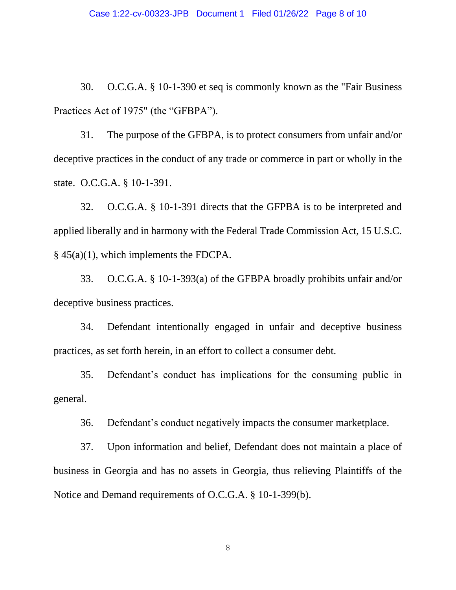30. O.C.G.A. § 10-1-390 et seq is commonly known as the "Fair Business Practices Act of 1975" (the "GFBPA").

31. The purpose of the GFBPA, is to protect consumers from unfair and/or deceptive practices in the conduct of any trade or commerce in part or wholly in the state. O.C.G.A. § 10-1-391.

32. O.C.G.A. § 10-1-391 directs that the GFPBA is to be interpreted and applied liberally and in harmony with the Federal Trade Commission Act, 15 U.S.C. § 45(a)(1), which implements the FDCPA.

33. O.C.G.A. § 10-1-393(a) of the GFBPA broadly prohibits unfair and/or deceptive business practices.

34. Defendant intentionally engaged in unfair and deceptive business practices, as set forth herein, in an effort to collect a consumer debt.

35. Defendant's conduct has implications for the consuming public in general.

36. Defendant's conduct negatively impacts the consumer marketplace.

37. Upon information and belief, Defendant does not maintain a place of business in Georgia and has no assets in Georgia, thus relieving Plaintiffs of the Notice and Demand requirements of O.C.G.A. § 10-1-399(b).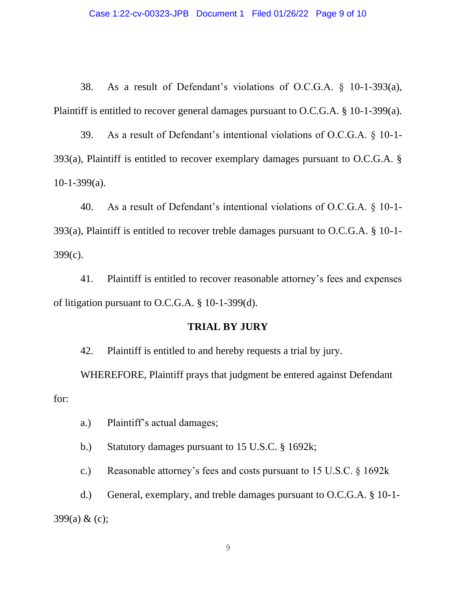38. As a result of Defendant's violations of O.C.G.A. § 10-1-393(a), Plaintiff is entitled to recover general damages pursuant to O.C.G.A. § 10-1-399(a).

39. As a result of Defendant's intentional violations of O.C.G.A. § 10-1- 393(a), Plaintiff is entitled to recover exemplary damages pursuant to O.C.G.A. § 10-1-399(a).

40. As a result of Defendant's intentional violations of O.C.G.A. § 10-1- 393(a), Plaintiff is entitled to recover treble damages pursuant to O.C.G.A. § 10-1- 399(c).

41. Plaintiff is entitled to recover reasonable attorney's fees and expenses of litigation pursuant to O.C.G.A. § 10-1-399(d).

## **TRIAL BY JURY**

42. Plaintiff is entitled to and hereby requests a trial by jury.

WHEREFORE, Plaintiff prays that judgment be entered against Defendant for:

a.) Plaintiff's actual damages;

b.) Statutory damages pursuant to 15 U.S.C. § 1692k;

c.) Reasonable attorney's fees and costs pursuant to 15 U.S.C. § 1692k

d.) General, exemplary, and treble damages pursuant to O.C.G.A. § 10-1- 399(a) & (c);